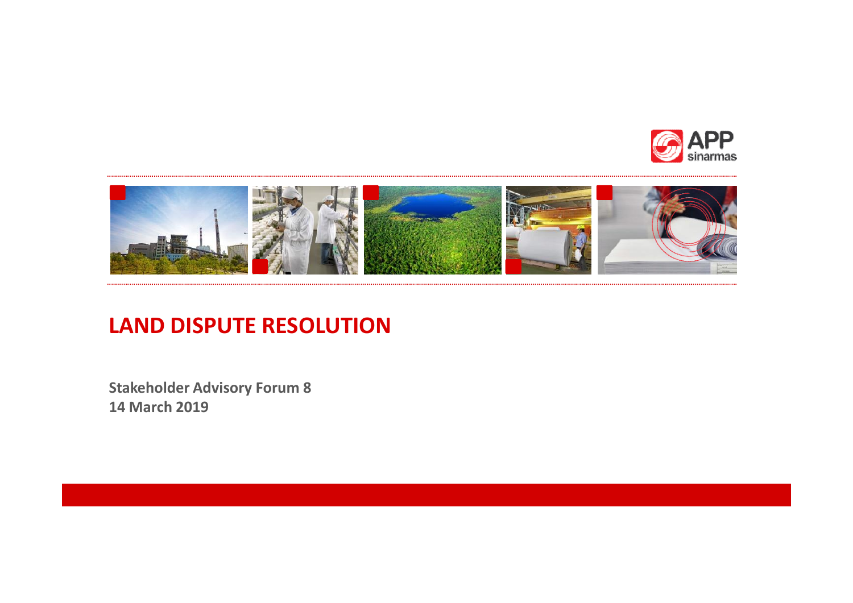



## **LAND DISPUTE RESOLUTION**

**Stakeholder Advisory Forum 8 14 March 2019**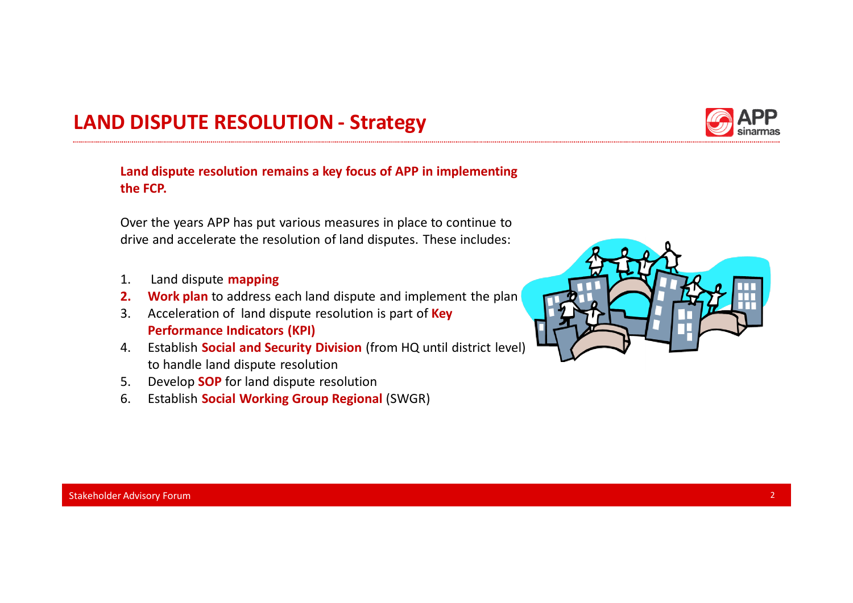## **LAND DISPUTE RESOLUTION - Strategy**



Over the years APP has put various measures in place to continue to drive and accelerate the resolution of land disputes. These includes:

- 1. Land dispute **mapping**
- **2. Work plan** to address each land dispute and implement the plan
- 3. Acceleration of land dispute resolution is part of **Key Performance Indicators (KPI)**
- 4. Establish **Social and Security Division** (from HQ until district level) to handle land dispute resolution
- 5. Develop **SOP** for land dispute resolution
- 6. Establish **Social Working Group Regional** (SWGR)





Stakeholder Advisory Forum 2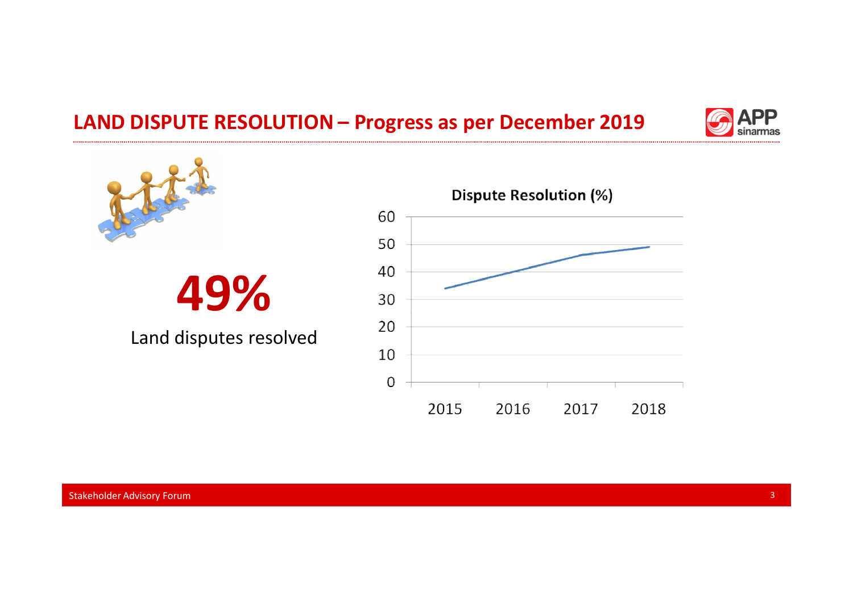## **LAND DISPUTE RESOLUTION – Progress as per December 2019**





# **49%**

Land disputes resolved

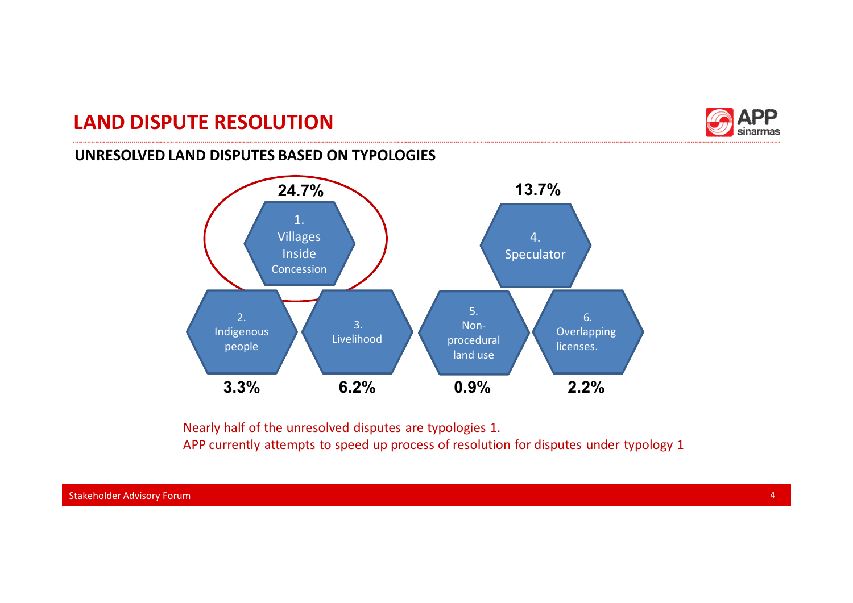## **LAND DISPUTE RESOLUTION**



### **UNRESOLVED LAND DISPUTES BASED ON TYPOLOGIES**



Nearly half of the unresolved disputes are typologies 1. APP currently attempts to speed up process of resolution for disputes under typology 1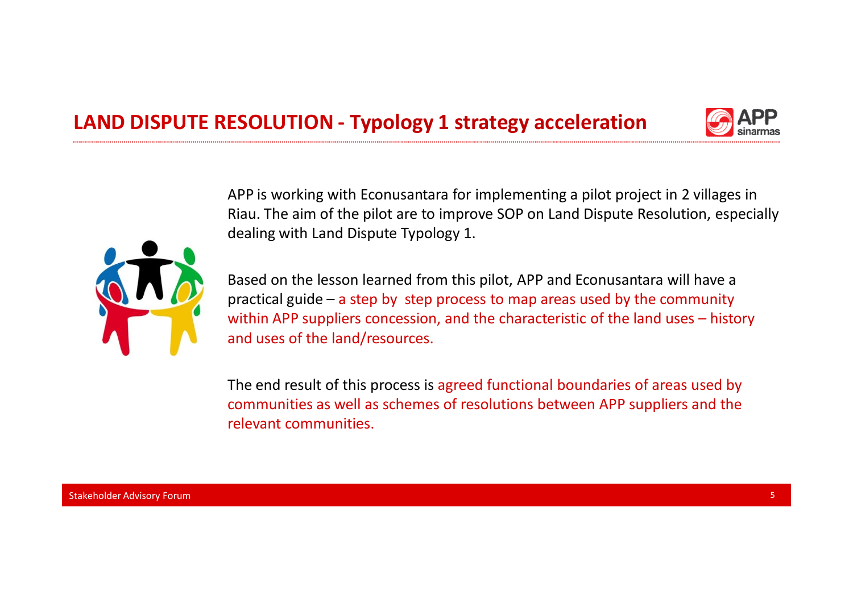



APP is working with Econusantara for implementing a pilot project in 2 villages in Riau. The aim of the pilot are to improve SOP on Land Dispute Resolution, especially dealing with Land Dispute Typology 1.



Based on the lesson learned from this pilot, APP and Econusantara will have a practical guide – a step by step process to map areas used by the community within APP suppliers concession, and the characteristic of the land uses – history and uses of the land/resources.

The end result of this process is agreed functional boundaries of areas used by communities as well as schemes of resolutions between APP suppliers and the relevant communities.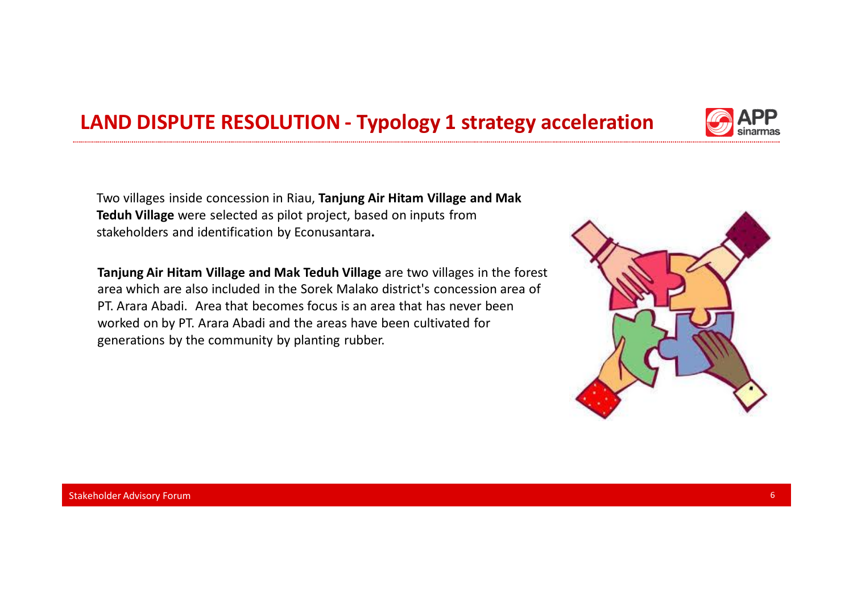## **LAND DISPUTE RESOLUTION - Typology 1 strategy acceleration**

Two villages inside concession in Riau, **Tanjung Air Hitam Village and Mak Teduh Village** were selected as pilot project, based on inputs from stakeholders and identification by Econusantara**.**

**Tanjung Air Hitam Village and Mak Teduh Village** are two villages in the forest area which are also included in the Sorek Malako district's concession area of PT. Arara Abadi. Area that becomes focus is an area that has never been worked on by PT. Arara Abadi and the areas have been cultivated for generations by the community by planting rubber.





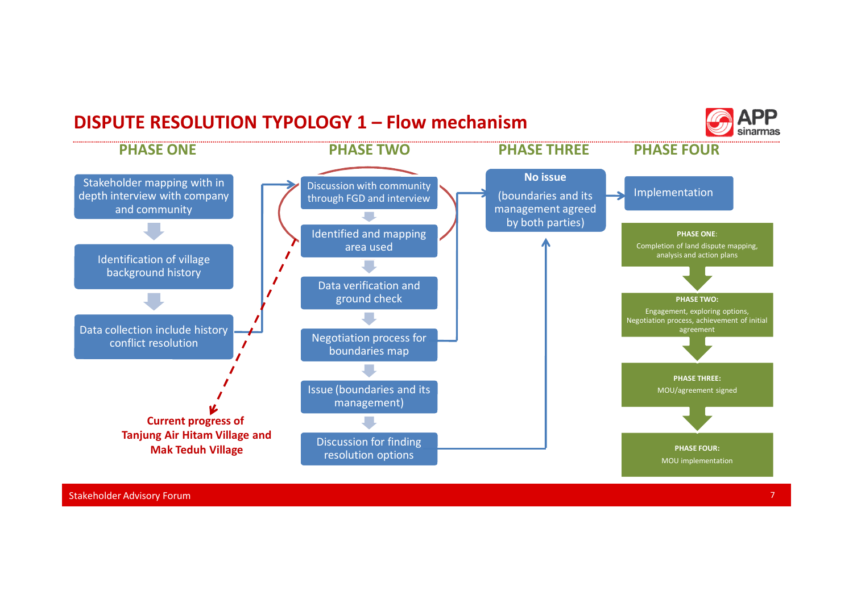#### **DISPUTE RESOLUTION TYPOLOGY 1 – Flow mechanism** sinarmas **PHASE ONE PHASE TWO PHASE THREE PHASE FOURNo issue**  Stakeholder mapping with in Discussion with community Implementation depth interview with company (boundaries and its through FGD and interview and community management agreed J. by both parties) Identified and mapping **PHASE ONE**: area used Completion of land dispute mapping, analysis and action plans Identification of village r. background history  $\overline{\phantom{a}}$ Data verification and ground check **PHASE TWO:**  Engagement, exploring options, Negotiation process, achievement of initial Data collection include history agreement Negotiation process for conflict resolution  $\mathbf{r}$ boundaries map **PHASE THREE:** Issue (boundaries and its MOU/agreement signed management) **Current progress of Tanjung Air Hitam Village and** Discussion for finding **Mak Teduh Village PHASE FOUR: PHASE FOUR: PHASE FOUR: PHASE FOUR: PHASE FOUR: PHASE FOUR: PHASE FOUR:** resolution options MOU implementation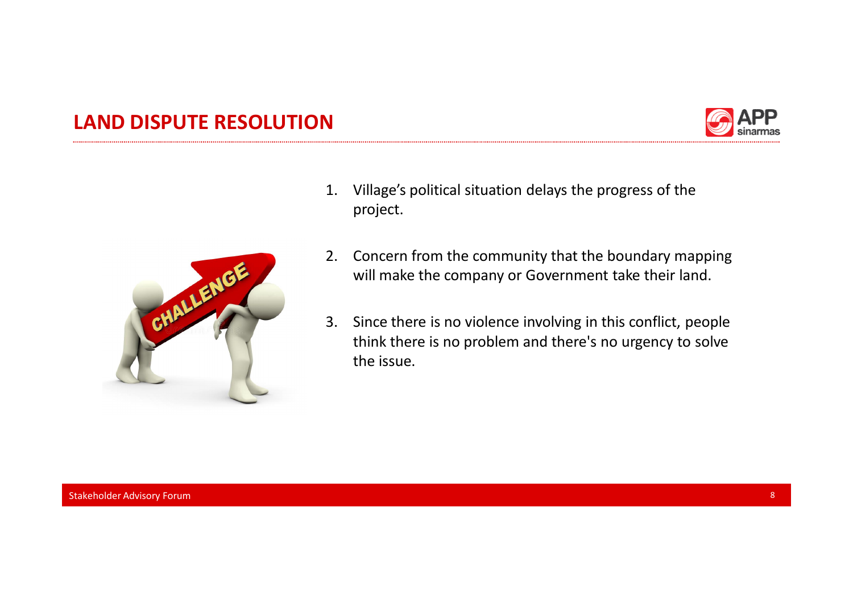## **LAND DISPUTE RESOLUTION**





- 1. Village's political situation delays the progress of the project.
- 2. Concern from the community that the boundary mapping will make the company or Government take their land.
- 3. Since there is no violence involving in this conflict, people think there is no problem and there's no urgency to solve the issue.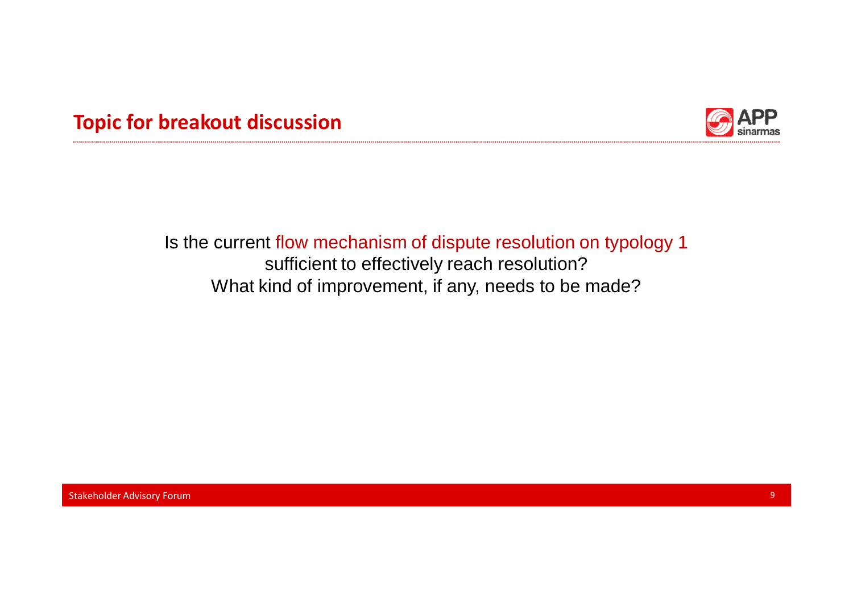



## Is the current flow mechanism of dispute resolution on typology 1 sufficient to effectively reach resolution? What kind of improvement, if any, needs to be made?